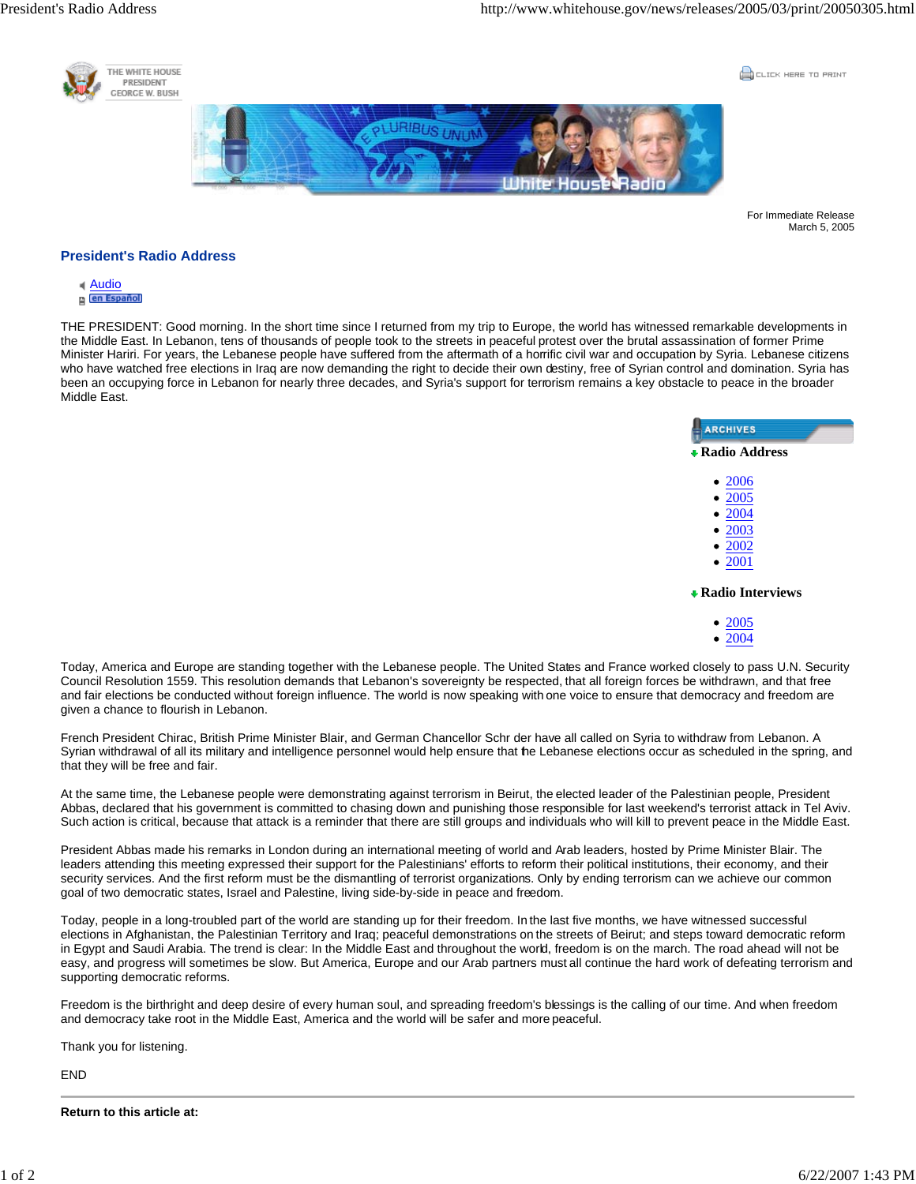

For Immediate Release March 5, 2005

## **President's Radio Address**



THE PRESIDENT: Good morning. In the short time since I returned from my trip to Europe, the world has witnessed remarkable developments in the Middle East. In Lebanon, tens of thousands of people took to the streets in peaceful protest over the brutal assassination of former Prime Minister Hariri. For years, the Lebanese people have suffered from the aftermath of a horrific civil war and occupation by Syria. Lebanese citizens who have watched free elections in Iraq are now demanding the right to decide their own destiny, free of Syrian control and domination. Syria has been an occupying force in Lebanon for nearly three decades, and Syria's support for terrorism remains a key obstacle to peace in the broader Middle East.

| <b>ARCHIVES</b>           |
|---------------------------|
| $\bullet$ Radio Address   |
| • 2006                    |
| • 2005                    |
| • 2004                    |
|                           |
| $\bullet$ 2003            |
| • 2002                    |
| $\bullet$ 2001            |
|                           |
| <b>• Radio Interviews</b> |
|                           |
| • $\frac{2005}{100}$      |
| • 2004                    |
|                           |

Today, America and Europe are standing together with the Lebanese people. The United States and France worked closely to pass U.N. Security Council Resolution 1559. This resolution demands that Lebanon's sovereignty be respected, that all foreign forces be withdrawn, and that free and fair elections be conducted without foreign influence. The world is now speaking with one voice to ensure that democracy and freedom are given a chance to flourish in Lebanon.

French President Chirac, British Prime Minister Blair, and German Chancellor Schr der have all called on Syria to withdraw from Lebanon. A Syrian withdrawal of all its military and intelligence personnel would help ensure that the Lebanese elections occur as scheduled in the spring, and that they will be free and fair.

At the same time, the Lebanese people were demonstrating against terrorism in Beirut, the elected leader of the Palestinian people, President Abbas, declared that his government is committed to chasing down and punishing those responsible for last weekend's terrorist attack in Tel Aviv. Such action is critical, because that attack is a reminder that there are still groups and individuals who will kill to prevent peace in the Middle East.

President Abbas made his remarks in London during an international meeting of world and Arab leaders, hosted by Prime Minister Blair. The leaders attending this meeting expressed their support for the Palestinians' efforts to reform their political institutions, their economy, and their security services. And the first reform must be the dismantling of terrorist organizations. Only by ending terrorism can we achieve our common goal of two democratic states, Israel and Palestine, living side-by-side in peace and freedom.

Today, people in a long-troubled part of the world are standing up for their freedom. In the last five months, we have witnessed successful elections in Afghanistan, the Palestinian Territory and Iraq; peaceful demonstrations on the streets of Beirut; and steps toward democratic reform in Egypt and Saudi Arabia. The trend is clear: In the Middle East and throughout the world, freedom is on the march. The road ahead will not be easy, and progress will sometimes be slow. But America, Europe and our Arab partners must all continue the hard work of defeating terrorism and supporting democratic reforms.

Freedom is the birthright and deep desire of every human soul, and spreading freedom's blessings is the calling of our time. And when freedom and democracy take root in the Middle East, America and the world will be safer and more peaceful.

Thank you for listening.

END

**Return to this article at:**